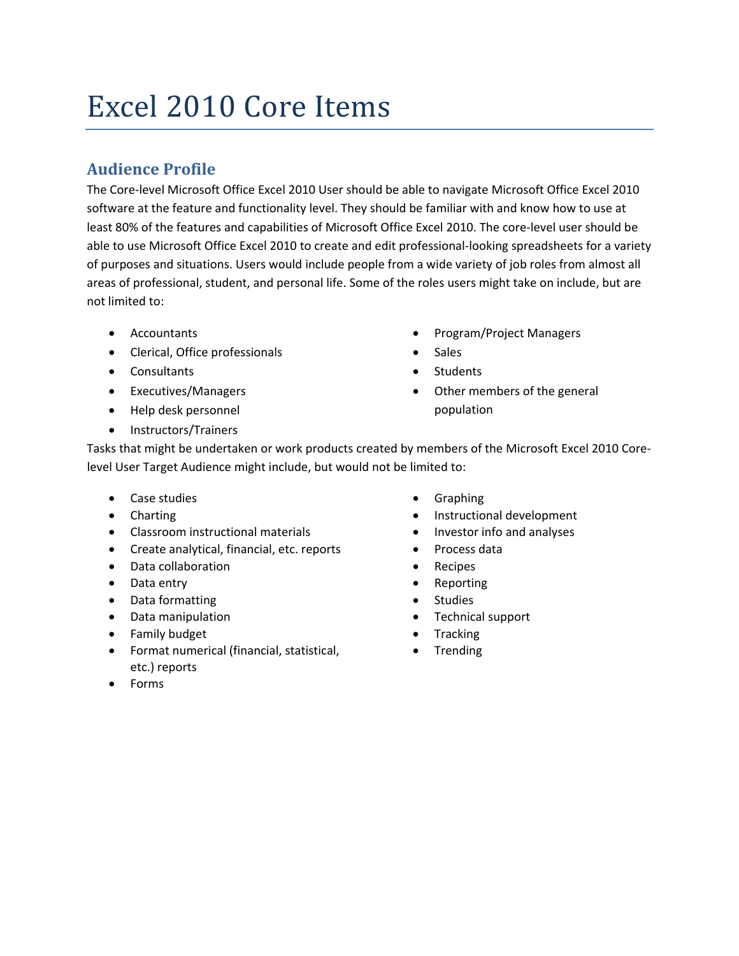# Excel 2010 Core Items

## **Audience Profile**

The Core‐level Microsoft Office Excel 2010 User should be able to navigate Microsoft Office Excel 2010 software at the feature and functionality level. They should be familiar with and know how to use at least 80% of the features and capabilities of Microsoft Office Excel 2010. The core‐level user should be able to use Microsoft Office Excel 2010 to create and edit professional-looking spreadsheets for a variety of purposes and situations. Users would include people from a wide variety of job roles from almost all areas of professional, student, and personal life. Some of the roles users might take on include, but are not limited to:

- Accountants
- Clerical, Office professionals
- Consultants
- Executives/Managers
- Help desk personnel

• Students Other members of the general

• Sales

• Instructors/Trainers

population

Tasks that might be undertaken or work products created by members of the Microsoft Excel 2010 Core‐ level User Target Audience might include, but would not be limited to:

- Case studies
- Charting
- Classroom instructional materials
- Create analytical, financial, etc. reports
- Data collaboration
- Data entry
- Data formatting
- Data manipulation
- Family budget
- Format numerical (financial, statistical, etc.) reports
- Forms
- Graphing
- Instructional development

• Program/Project Managers

- Investor info and analyses
- Process data
- Recipes
- Reporting
- Studies
- Technical support
- **Tracking**
- **Trending**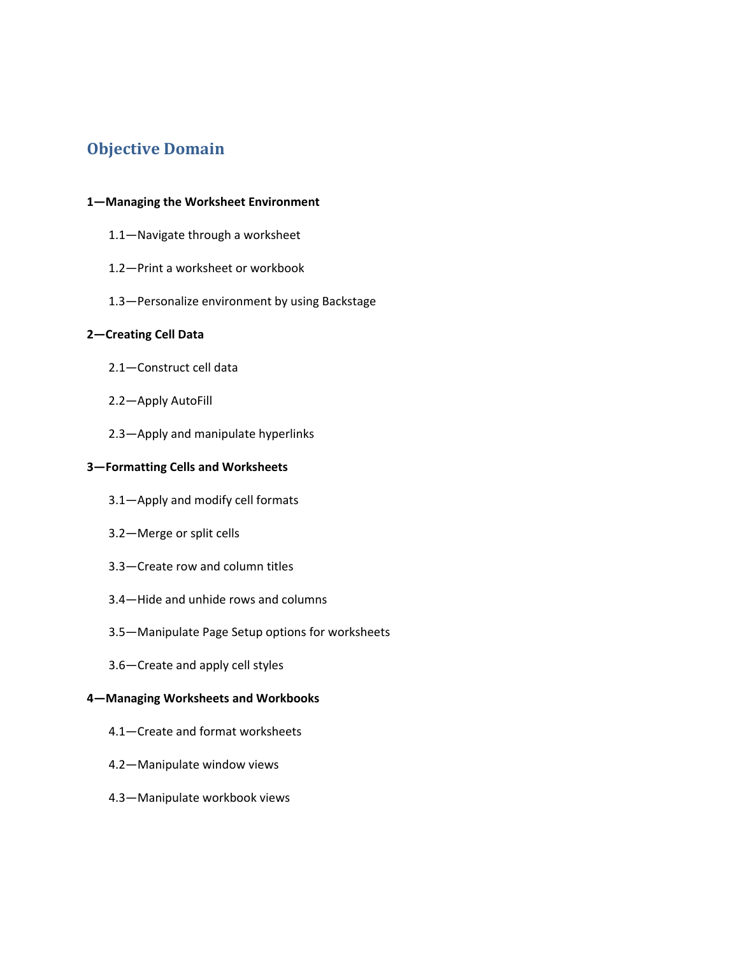### **Objective Domain**

#### **1—Managing the Worksheet Environment**

- 1.1—Navigate through a worksheet
- 1.2—Print a worksheet or workbook
- 1.3—Personalize environment by using Backstage

#### **2—Creating Cell Data**

- 2.1—Construct cell data
- 2.2—Apply AutoFill
- 2.3—Apply and manipulate hyperlinks

#### **3—Formatting Cells and Worksheets**

- 3.1—Apply and modify cell formats
- 3.2—Merge or split cells
- 3.3—Create row and column titles
- 3.4—Hide and unhide rows and columns
- 3.5—Manipulate Page Setup options for worksheets
- 3.6—Create and apply cell styles

#### **4—Managing Worksheets and Workbooks**

- 4.1—Create and format worksheets
- 4.2—Manipulate window views
- 4.3—Manipulate workbook views